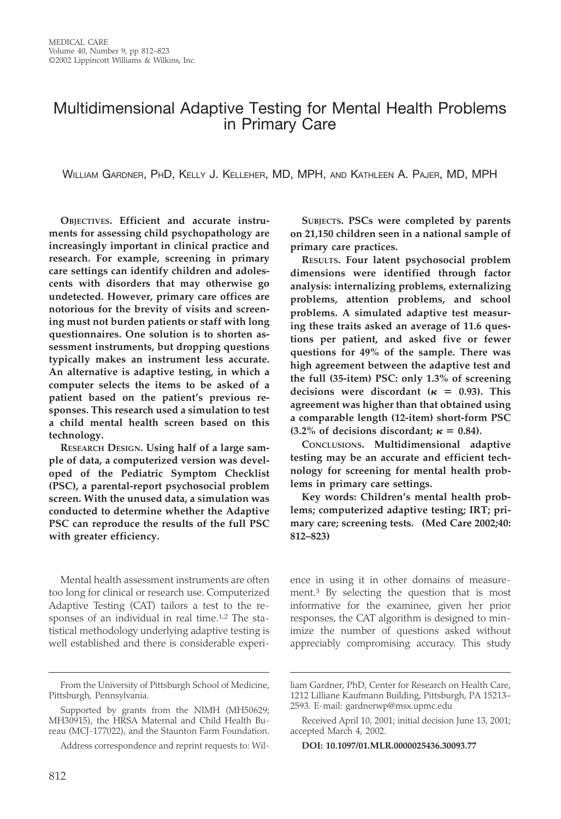# Multidimensional Adaptive Testing for Mental Health Problems in Primary Care

WILLIAM GARDNER, PHD, KELLY J. KELLEHER, MD, MPH, AND KATHLEEN A. PAJER, MD, MPH

**OBJECTIVES. Efficient and accurate instruments for assessing child psychopathology are increasingly important in clinical practice and research. For example, screening in primary care settings can identify children and adolescents with disorders that may otherwise go undetected. However, primary care offices are notorious for the brevity of visits and screening must not burden patients or staff with long questionnaires. One solution is to shorten assessment instruments, but dropping questions typically makes an instrument less accurate. An alternative is adaptive testing, in which a computer selects the items to be asked of a patient based on the patient's previous responses. This research used a simulation to test a child mental health screen based on this technology.**

**RESEARCH DESIGN. Using half of a large sample of data, a computerized version was developed of the Pediatric Symptom Checklist (PSC), a parental-report psychosocial problem screen. With the unused data, a simulation was conducted to determine whether the Adaptive PSC can reproduce the results of the full PSC with greater efficiency.**

Mental health assessment instruments are often too long for clinical or research use. Computerized Adaptive Testing (CAT) tailors a test to the responses of an individual in real time.1,2 The statistical methodology underlying adaptive testing is well established and there is considerable experi-

**SUBJECTS. PSCs were completed by parents on 21,150 children seen in a national sample of primary care practices.**

**RESULTS. Four latent psychosocial problem dimensions were identified through factor analysis: internalizing problems, externalizing problems, attention problems, and school problems. A simulated adaptive test measuring these traits asked an average of 11.6 questions per patient, and asked five or fewer questions for 49% of the sample. There was high agreement between the adaptive test and the full (35-item) PSC: only 1.3% of screening** decisions were discordant  $(\kappa = 0.93)$ . This **agreement was higher than that obtained using a comparable length (12-item) short-form PSC**  $(3.2\% \text{ of decisions disorder})$  $\kappa = 0.84$ ).

**CONCLUSIONS. Multidimensional adaptive testing may be an accurate and efficient technology for screening for mental health problems in primary care settings.**

**Key words: Children's mental health problems; computerized adaptive testing; IRT; primary care; screening tests. (Med Care 2002;40: 812–823)**

ence in using it in other domains of measurement.3 By selecting the question that is most informative for the examinee, given her prior responses, the CAT algorithm is designed to minimize the number of questions asked without appreciably compromising accuracy. This study

From the University of Pittsburgh School of Medicine, Pittsburgh, Pennsylvania.

Supported by grants from the NIMH (MH50629; MH30915), the HRSA Maternal and Child Health Bureau (MCJ-177022), and the Staunton Farm Foundation.

Address correspondence and reprint requests to: Wil-

liam Gardner, PhD, Center for Research on Health Care, 1212 Lilliane Kaufmann Building, Pittsburgh, PA 15213– 2593. E-mail: gardnerwp@msx.upmc.edu

Received April 10, 2001; initial decision June 13, 2001; accepted March 4, 2002.

**DOI: 10.1097/01.MLR.0000025436.30093.77**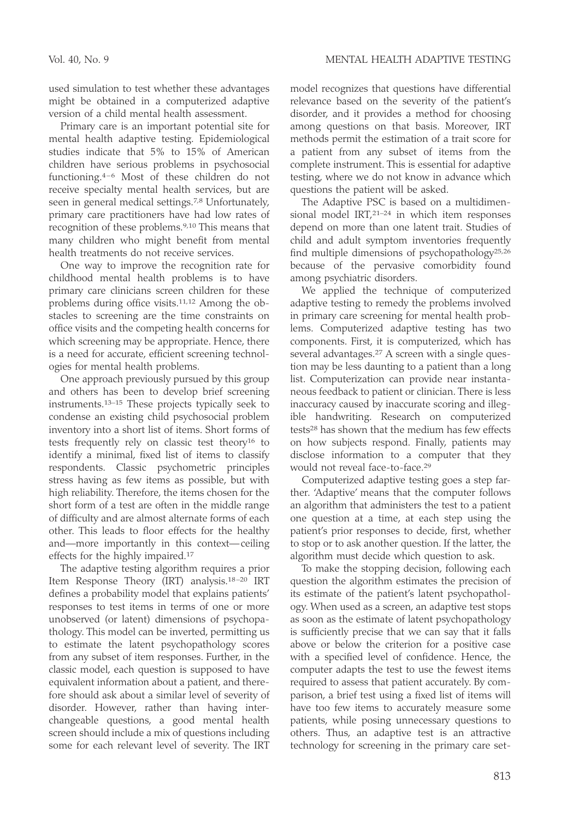used simulation to test whether these advantages might be obtained in a computerized adaptive version of a child mental health assessment.

Primary care is an important potential site for mental health adaptive testing. Epidemiological studies indicate that 5% to 15% of American children have serious problems in psychosocial functioning.4–6 Most of these children do not receive specialty mental health services, but are seen in general medical settings.<sup>7,8</sup> Unfortunately, primary care practitioners have had low rates of recognition of these problems.9,10 This means that many children who might benefit from mental health treatments do not receive services.

One way to improve the recognition rate for childhood mental health problems is to have primary care clinicians screen children for these problems during office visits.11,12 Among the obstacles to screening are the time constraints on office visits and the competing health concerns for which screening may be appropriate. Hence, there is a need for accurate, efficient screening technologies for mental health problems.

One approach previously pursued by this group and others has been to develop brief screening instruments.13–15 These projects typically seek to condense an existing child psychosocial problem inventory into a short list of items. Short forms of tests frequently rely on classic test theory16 to identify a minimal, fixed list of items to classify respondents. Classic psychometric principles stress having as few items as possible, but with high reliability. Therefore, the items chosen for the short form of a test are often in the middle range of difficulty and are almost alternate forms of each other. This leads to floor effects for the healthy and—more importantly in this context—ceiling effects for the highly impaired.17

The adaptive testing algorithm requires a prior Item Response Theory (IRT) analysis.18–20 IRT defines a probability model that explains patients' responses to test items in terms of one or more unobserved (or latent) dimensions of psychopathology. This model can be inverted, permitting us to estimate the latent psychopathology scores from any subset of item responses. Further, in the classic model, each question is supposed to have equivalent information about a patient, and therefore should ask about a similar level of severity of disorder. However, rather than having interchangeable questions, a good mental health screen should include a mix of questions including some for each relevant level of severity. The IRT

model recognizes that questions have differential relevance based on the severity of the patient's disorder, and it provides a method for choosing among questions on that basis. Moreover, IRT methods permit the estimation of a trait score for a patient from any subset of items from the complete instrument. This is essential for adaptive testing, where we do not know in advance which questions the patient will be asked.

The Adaptive PSC is based on a multidimensional model IRT,21–24 in which item responses depend on more than one latent trait. Studies of child and adult symptom inventories frequently find multiple dimensions of psychopathology25,26 because of the pervasive comorbidity found among psychiatric disorders.

We applied the technique of computerized adaptive testing to remedy the problems involved in primary care screening for mental health problems. Computerized adaptive testing has two components. First, it is computerized, which has several advantages.<sup>27</sup> A screen with a single question may be less daunting to a patient than a long list. Computerization can provide near instantaneous feedback to patient or clinician. There is less inaccuracy caused by inaccurate scoring and illegible handwriting. Research on computerized tests28 has shown that the medium has few effects on how subjects respond. Finally, patients may disclose information to a computer that they would not reveal face-to-face.29

Computerized adaptive testing goes a step farther. 'Adaptive' means that the computer follows an algorithm that administers the test to a patient one question at a time, at each step using the patient's prior responses to decide, first, whether to stop or to ask another question. If the latter, the algorithm must decide which question to ask.

To make the stopping decision, following each question the algorithm estimates the precision of its estimate of the patient's latent psychopathology. When used as a screen, an adaptive test stops as soon as the estimate of latent psychopathology is sufficiently precise that we can say that it falls above or below the criterion for a positive case with a specified level of confidence. Hence, the computer adapts the test to use the fewest items required to assess that patient accurately. By comparison, a brief test using a fixed list of items will have too few items to accurately measure some patients, while posing unnecessary questions to others. Thus, an adaptive test is an attractive technology for screening in the primary care set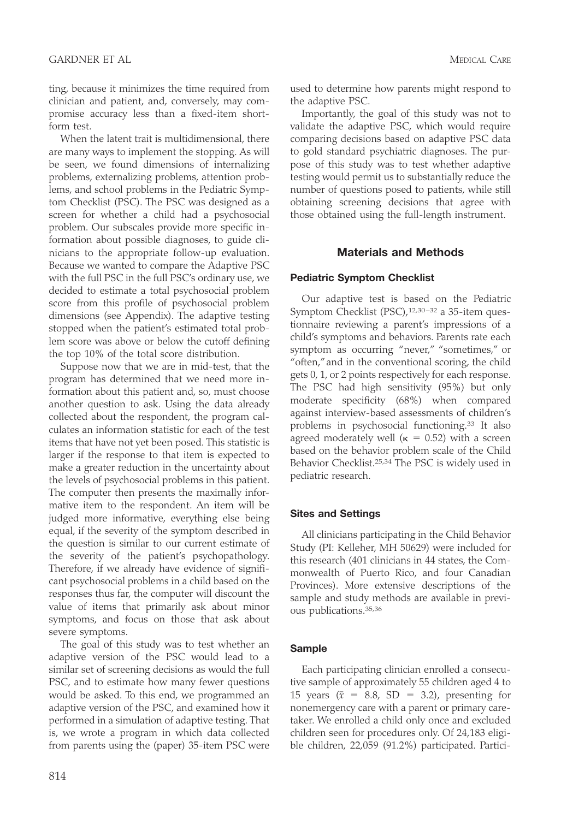ting, because it minimizes the time required from clinician and patient, and, conversely, may compromise accuracy less than a fixed-item shortform test.

When the latent trait is multidimensional, there are many ways to implement the stopping. As will be seen, we found dimensions of internalizing problems, externalizing problems, attention problems, and school problems in the Pediatric Symptom Checklist (PSC). The PSC was designed as a screen for whether a child had a psychosocial problem. Our subscales provide more specific information about possible diagnoses, to guide clinicians to the appropriate follow-up evaluation. Because we wanted to compare the Adaptive PSC with the full PSC in the full PSC's ordinary use, we decided to estimate a total psychosocial problem score from this profile of psychosocial problem dimensions (see Appendix). The adaptive testing stopped when the patient's estimated total problem score was above or below the cutoff defining the top 10% of the total score distribution.

Suppose now that we are in mid-test, that the program has determined that we need more information about this patient and, so, must choose another question to ask. Using the data already collected about the respondent, the program calculates an information statistic for each of the test items that have not yet been posed. This statistic is larger if the response to that item is expected to make a greater reduction in the uncertainty about the levels of psychosocial problems in this patient. The computer then presents the maximally informative item to the respondent. An item will be judged more informative, everything else being equal, if the severity of the symptom described in the question is similar to our current estimate of the severity of the patient's psychopathology. Therefore, if we already have evidence of significant psychosocial problems in a child based on the responses thus far, the computer will discount the value of items that primarily ask about minor symptoms, and focus on those that ask about severe symptoms.

The goal of this study was to test whether an adaptive version of the PSC would lead to a similar set of screening decisions as would the full PSC, and to estimate how many fewer questions would be asked. To this end, we programmed an adaptive version of the PSC, and examined how it performed in a simulation of adaptive testing. That is, we wrote a program in which data collected from parents using the (paper) 35-item PSC were used to determine how parents might respond to the adaptive PSC.

Importantly, the goal of this study was not to validate the adaptive PSC, which would require comparing decisions based on adaptive PSC data to gold standard psychiatric diagnoses. The purpose of this study was to test whether adaptive testing would permit us to substantially reduce the number of questions posed to patients, while still obtaining screening decisions that agree with those obtained using the full-length instrument.

# **Materials and Methods**

# **Pediatric Symptom Checklist**

Our adaptive test is based on the Pediatric Symptom Checklist (PSC),12,30–32 a 35-item questionnaire reviewing a parent's impressions of a child's symptoms and behaviors. Parents rate each symptom as occurring "never," "sometimes," or "often,"and in the conventional scoring, the child gets 0, 1, or 2 points respectively for each response. The PSC had high sensitivity (95%) but only moderate specificity (68%) when compared against interview-based assessments of children's problems in psychosocial functioning.33 It also agreed moderately well ( $\kappa = 0.52$ ) with a screen based on the behavior problem scale of the Child Behavior Checklist.25,34 The PSC is widely used in pediatric research.

# **Sites and Settings**

All clinicians participating in the Child Behavior Study (PI: Kelleher, MH 50629) were included for this research (401 clinicians in 44 states, the Commonwealth of Puerto Rico, and four Canadian Provinces). More extensive descriptions of the sample and study methods are available in previous publications.35,36

# **Sample**

Each participating clinician enrolled a consecutive sample of approximately 55 children aged 4 to 15 years ( $\bar{x}$  = 8.8, SD = 3.2), presenting for nonemergency care with a parent or primary caretaker. We enrolled a child only once and excluded children seen for procedures only. Of 24,183 eligible children, 22,059 (91.2%) participated. Partici-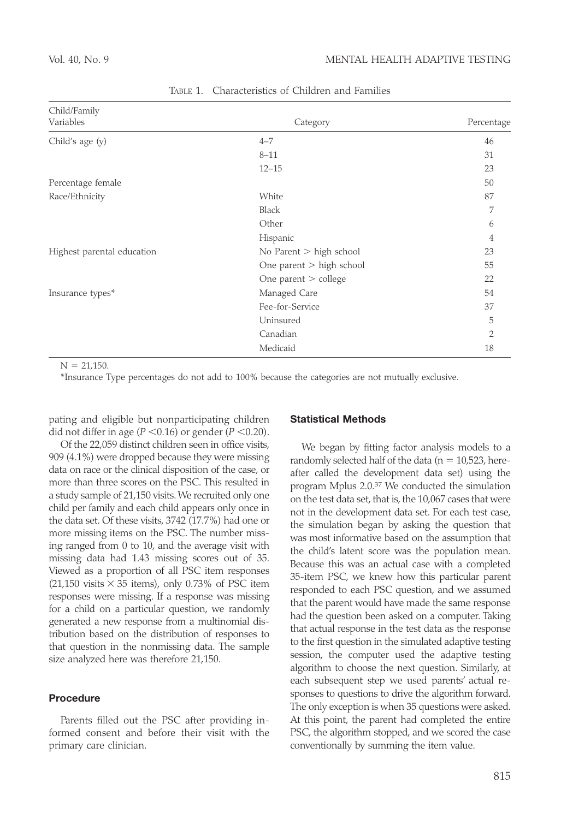| Child/Family               |                            |                |  |
|----------------------------|----------------------------|----------------|--|
| Variables                  | Category                   | Percentage     |  |
| Child's age (y)            | $4 - 7$                    | 46             |  |
|                            | $8 - 11$                   | 31             |  |
|                            | $12 - 15$                  | 23             |  |
| Percentage female          |                            | 50             |  |
| Race/Ethnicity             | White                      | 87             |  |
|                            | <b>Black</b>               | 7              |  |
|                            | Other                      | 6              |  |
|                            | Hispanic                   | 4              |  |
| Highest parental education | No Parent $>$ high school  | 23             |  |
|                            | One parent $>$ high school | 55             |  |
|                            | One parent $>$ college     | 22             |  |
| Insurance types*           | Managed Care               | 54             |  |
|                            | Fee-for-Service            | 37             |  |
|                            | Uninsured                  | 5              |  |
|                            | Canadian                   | $\overline{2}$ |  |
|                            | Medicaid                   | 18             |  |

TABLE 1. Characteristics of Children and Families

 $N = 21,150$ .

\*Insurance Type percentages do not add to 100% because the categories are not mutually exclusive.

pating and eligible but nonparticipating children did not differ in age ( $P < 0.16$ ) or gender ( $P < 0.20$ ).

Of the 22,059 distinct children seen in office visits, 909 (4.1%) were dropped because they were missing data on race or the clinical disposition of the case, or more than three scores on the PSC. This resulted in a study sample of 21,150 visits. We recruited only one child per family and each child appears only once in the data set. Of these visits, 3742 (17.7%) had one or more missing items on the PSC. The number missing ranged from 0 to 10, and the average visit with missing data had 1.43 missing scores out of 35. Viewed as a proportion of all PSC item responses  $(21,150 \text{ visits} \times 35 \text{ items})$ , only 0.73% of PSC item responses were missing. If a response was missing for a child on a particular question, we randomly generated a new response from a multinomial distribution based on the distribution of responses to that question in the nonmissing data. The sample size analyzed here was therefore 21,150.

#### **Procedure**

Parents filled out the PSC after providing informed consent and before their visit with the primary care clinician.

### **Statistical Methods**

We began by fitting factor analysis models to a randomly selected half of the data ( $n = 10,523$ , hereafter called the development data set) using the program Mplus 2.0.37 We conducted the simulation on the test data set, that is, the 10,067 cases that were not in the development data set. For each test case, the simulation began by asking the question that was most informative based on the assumption that the child's latent score was the population mean. Because this was an actual case with a completed 35-item PSC, we knew how this particular parent responded to each PSC question, and we assumed that the parent would have made the same response had the question been asked on a computer. Taking that actual response in the test data as the response to the first question in the simulated adaptive testing session, the computer used the adaptive testing algorithm to choose the next question. Similarly, at each subsequent step we used parents' actual responses to questions to drive the algorithm forward. The only exception is when 35 questions were asked. At this point, the parent had completed the entire PSC, the algorithm stopped, and we scored the case conventionally by summing the item value.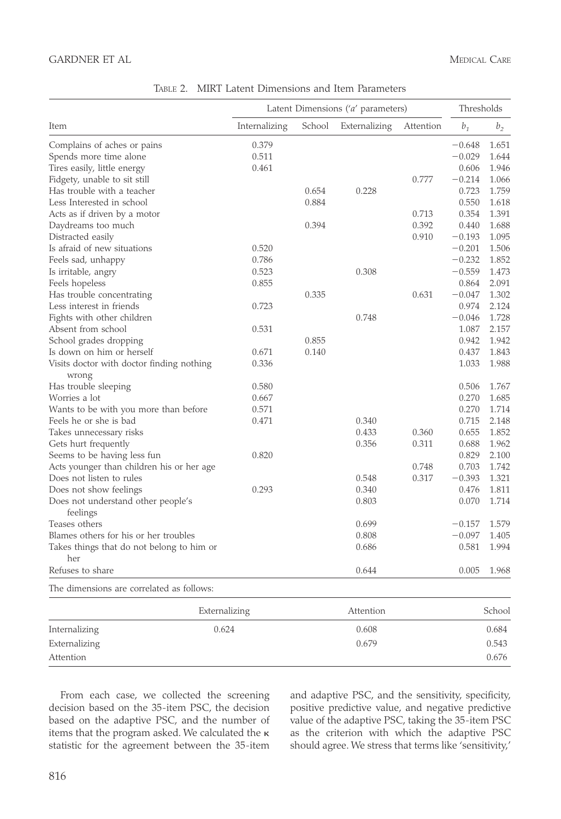# GARDNER ET AL **MEDICAL CARE**

|                                                  | Latent Dimensions ('a' parameters) |        |               |           | Thresholds  |                |
|--------------------------------------------------|------------------------------------|--------|---------------|-----------|-------------|----------------|
| Item                                             | Internalizing                      | School | Externalizing | Attention | $b_{\it 1}$ | b <sub>2</sub> |
| Complains of aches or pains                      | 0.379                              |        |               |           | $-0.648$    | 1.651          |
| Spends more time alone                           | 0.511                              |        |               |           | $-0.029$    | 1.644          |
| Tires easily, little energy                      | 0.461                              |        |               |           | 0.606       | 1.946          |
| Fidgety, unable to sit still                     |                                    |        |               | 0.777     | $-0.214$    | 1.066          |
| Has trouble with a teacher                       |                                    | 0.654  | 0.228         |           | 0.723       | 1.759          |
| Less Interested in school                        |                                    | 0.884  |               |           | 0.550       | 1.618          |
| Acts as if driven by a motor                     |                                    |        |               | 0.713     | 0.354       | 1.391          |
| Daydreams too much                               |                                    | 0.394  |               | 0.392     | 0.440       | 1.688          |
| Distracted easily                                |                                    |        |               | 0.910     | $-0.193$    | 1.095          |
| Is afraid of new situations                      | 0.520                              |        |               |           | $-0.201$    | 1.506          |
| Feels sad, unhappy                               | 0.786                              |        |               |           | $-0.232$    | 1.852          |
| Is irritable, angry                              | 0.523                              |        | 0.308         |           | $-0.559$    | 1.473          |
| Feels hopeless                                   | 0.855                              |        |               |           | 0.864       | 2.091          |
| Has trouble concentrating                        |                                    | 0.335  |               | 0.631     | $-0.047$    | 1.302          |
| Less interest in friends                         | 0.723                              |        |               |           | 0.974       | 2.124          |
| Fights with other children                       |                                    |        | 0.748         |           | $-0.046$    | 1.728          |
| Absent from school                               | 0.531                              |        |               |           | 1.087       | 2.157          |
| School grades dropping                           |                                    | 0.855  |               |           | 0.942       | 1.942          |
| Is down on him or herself                        | 0.671                              | 0.140  |               |           | 0.437       | 1.843          |
| Visits doctor with doctor finding nothing        | 0.336                              |        |               |           | 1.033       | 1.988          |
| wrong                                            |                                    |        |               |           |             |                |
| Has trouble sleeping                             | 0.580                              |        |               |           | 0.506       | 1.767          |
| Worries a lot                                    | 0.667                              |        |               |           | 0.270       | 1.685          |
| Wants to be with you more than before            | 0.571                              |        |               |           | 0.270       | 1.714          |
|                                                  |                                    |        | 0.340         |           | 0.715       | 2.148          |
| Feels he or she is bad                           | 0.471                              |        | 0.433         | 0.360     | 0.655       |                |
| Takes unnecessary risks                          |                                    |        |               |           |             | 1.852          |
| Gets hurt frequently                             |                                    |        | 0.356         | 0.311     | 0.688       | 1.962          |
| Seems to be having less fun                      | 0.820                              |        |               |           | 0.829       | 2.100          |
| Acts younger than children his or her age        |                                    |        |               | 0.748     | 0.703       | 1.742          |
| Does not listen to rules                         |                                    |        | 0.548         | 0.317     | $-0.393$    | 1.321          |
| Does not show feelings                           | 0.293                              |        | 0.340         |           | 0.476       | 1.811          |
| Does not understand other people's               |                                    |        | 0.803         |           | 0.070       | 1.714          |
| feelings<br>Teases others                        |                                    |        | 0.699         |           | $-0.157$    | 1.579          |
| Blames others for his or her troubles            |                                    |        | 0.808         |           | $-0.097$    | 1.405          |
|                                                  |                                    |        | 0.686         |           | 0.581       | 1.994          |
| Takes things that do not belong to him or<br>her |                                    |        |               |           |             |                |
| Refuses to share                                 |                                    |        | 0.644         |           | 0.005       | 1.968          |
|                                                  |                                    |        |               |           |             |                |
| The dimensions are correlated as follows:        |                                    |        |               |           |             |                |
| Externalizing                                    |                                    |        | Attention     |           |             | School         |
| 0.624<br>Internalizing                           |                                    |        | 0.608         |           |             | 0.684          |
| Externalizing                                    |                                    |        | 0.679         |           |             | 0.543          |
| Attention                                        |                                    |        |               |           |             | 0.676          |

TABLE 2. MIRT Latent Dimensions and Item Parameters

From each case, we collected the screening decision based on the 35-item PSC, the decision based on the adaptive PSC, and the number of items that the program asked. We calculated the  $\kappa$ statistic for the agreement between the 35-item

and adaptive PSC, and the sensitivity, specificity, positive predictive value, and negative predictive value of the adaptive PSC, taking the 35-item PSC as the criterion with which the adaptive PSC should agree. We stress that terms like 'sensitivity,'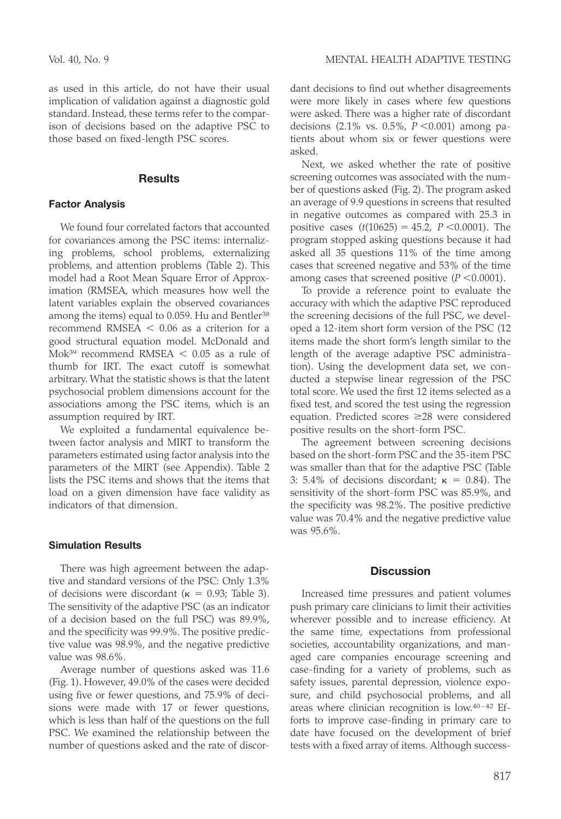as used in this article, do not have their usual implication of validation against a diagnostic gold standard. Instead, these terms refer to the comparison of decisions based on the adaptive PSC to those based on fixed-length PSC scores.

#### **Results**

#### **Factor Analysis**

We found four correlated factors that accounted for covariances among the PSC items: internalizing problems, school problems, externalizing problems, and attention problems (Table 2). This model had a Root Mean Square Error of Approximation (RMSEA, which measures how well the latent variables explain the observed covariances among the items) equal to 0.059. Hu and Bentler<sup>38</sup> recommend RMSEA  $\leq$  0.06 as a criterion for a good structural equation model. McDonald and  $Mok<sup>39</sup>$  recommend RMSEA  $<$  0.05 as a rule of thumb for IRT. The exact cutoff is somewhat arbitrary. What the statistic shows is that the latent psychosocial problem dimensions account for the associations among the PSC items, which is an assumption required by IRT.

We exploited a fundamental equivalence between factor analysis and MIRT to transform the parameters estimated using factor analysis into the parameters of the MIRT (see Appendix). Table 2 lists the PSC items and shows that the items that load on a given dimension have face validity as indicators of that dimension.

### **Simulation Results**

There was high agreement between the adaptive and standard versions of the PSC: Only 1.3% of decisions were discordant ( $\kappa = 0.93$ ; Table 3). The sensitivity of the adaptive PSC (as an indicator of a decision based on the full PSC) was 89.9%, and the specificity was 99.9%. The positive predictive value was 98.9%, and the negative predictive value was 98.6%.

Average number of questions asked was 11.6 (Fig. 1). However, 49.0% of the cases were decided using five or fewer questions, and 75.9% of decisions were made with 17 or fewer questions, which is less than half of the questions on the full PSC. We examined the relationship between the number of questions asked and the rate of discordant decisions to find out whether disagreements were more likely in cases where few questions were asked. There was a higher rate of discordant decisions  $(2.1\% \text{ vs. } 0.5\%, P < 0.001)$  among patients about whom six or fewer questions were asked.

Next, we asked whether the rate of positive screening outcomes was associated with the number of questions asked (Fig. 2). The program asked an average of 9.9 questions in screens that resulted in negative outcomes as compared with 25.3 in positive cases  $(t(10625) = 45.2, P < 0.0001)$ . The program stopped asking questions because it had asked all 35 questions 11% of the time among cases that screened negative and 53% of the time among cases that screened positive  $(P \leq 0.0001)$ .

To provide a reference point to evaluate the accuracy with which the adaptive PSC reproduced the screening decisions of the full PSC, we developed a 12-item short form version of the PSC (12 items made the short form's length similar to the length of the average adaptive PSC administration). Using the development data set, we conducted a stepwise linear regression of the PSC total score. We used the first 12 items selected as a fixed test, and scored the test using the regression equation. Predicted scores  $\geq 28$  were considered positive results on the short-form PSC.

The agreement between screening decisions based on the short-form PSC and the 35-item PSC was smaller than that for the adaptive PSC (Table 3: 5.4% of decisions discordant;  $\kappa = 0.84$ ). The sensitivity of the short-form PSC was 85.9%, and the specificity was 98.2%. The positive predictive value was 70.4% and the negative predictive value was 95.6%.

### **Discussion**

Increased time pressures and patient volumes push primary care clinicians to limit their activities wherever possible and to increase efficiency. At the same time, expectations from professional societies, accountability organizations, and managed care companies encourage screening and case-finding for a variety of problems, such as safety issues, parental depression, violence exposure, and child psychosocial problems, and all areas where clinician recognition is low.40–42 Efforts to improve case-finding in primary care to date have focused on the development of brief tests with a fixed array of items. Although success-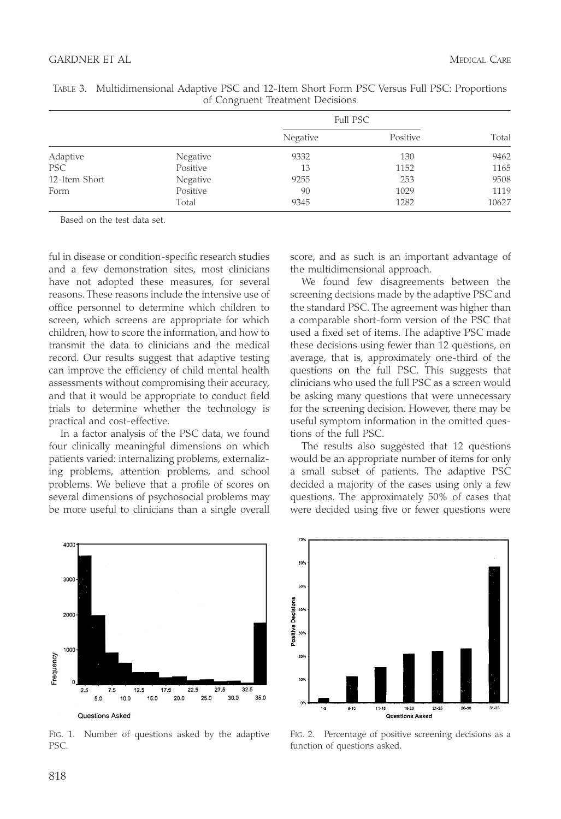|               |          | Full PSC |          |       |
|---------------|----------|----------|----------|-------|
|               |          | Negative | Positive | Total |
| Adaptive      | Negative | 9332     | 130      | 9462  |
| PSC           | Positive | 13       | 1152     | 1165  |
| 12-Item Short | Negative | 9255     | 253      | 9508  |
| Form          | Positive | 90       | 1029     | 1119  |
|               | Total    | 9345     | 1282     | 10627 |

TABLE 3. Multidimensional Adaptive PSC and 12-Item Short Form PSC Versus Full PSC: Proportions of Congruent Treatment Decisions

Based on the test data set.

ful in disease or condition-specific research studies and a few demonstration sites, most clinicians have not adopted these measures, for several reasons. These reasons include the intensive use of office personnel to determine which children to screen, which screens are appropriate for which children, how to score the information, and how to transmit the data to clinicians and the medical record. Our results suggest that adaptive testing can improve the efficiency of child mental health assessments without compromising their accuracy, and that it would be appropriate to conduct field trials to determine whether the technology is practical and cost-effective.

In a factor analysis of the PSC data, we found four clinically meaningful dimensions on which patients varied: internalizing problems, externalizing problems, attention problems, and school problems. We believe that a profile of scores on several dimensions of psychosocial problems may be more useful to clinicians than a single overall

score, and as such is an important advantage of the multidimensional approach.

We found few disagreements between the screening decisions made by the adaptive PSC and the standard PSC. The agreement was higher than a comparable short-form version of the PSC that used a fixed set of items. The adaptive PSC made these decisions using fewer than 12 questions, on average, that is, approximately one-third of the questions on the full PSC. This suggests that clinicians who used the full PSC as a screen would be asking many questions that were unnecessary for the screening decision. However, there may be useful symptom information in the omitted questions of the full PSC.

The results also suggested that 12 questions would be an appropriate number of items for only a small subset of patients. The adaptive PSC decided a majority of the cases using only a few questions. The approximately 50% of cases that were decided using five or fewer questions were



FIG. 1. Number of questions asked by the adaptive PSC.



FIG. 2. Percentage of positive screening decisions as a function of questions asked.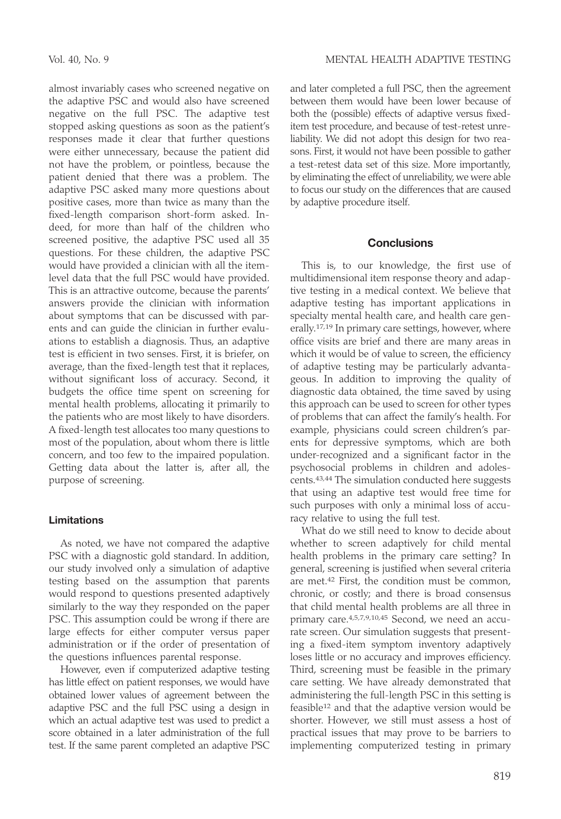almost invariably cases who screened negative on the adaptive PSC and would also have screened negative on the full PSC. The adaptive test stopped asking questions as soon as the patient's responses made it clear that further questions were either unnecessary, because the patient did not have the problem, or pointless, because the patient denied that there was a problem. The adaptive PSC asked many more questions about positive cases, more than twice as many than the fixed-length comparison short-form asked. Indeed, for more than half of the children who screened positive, the adaptive PSC used all 35 questions. For these children, the adaptive PSC would have provided a clinician with all the itemlevel data that the full PSC would have provided. This is an attractive outcome, because the parents' answers provide the clinician with information about symptoms that can be discussed with parents and can guide the clinician in further evaluations to establish a diagnosis. Thus, an adaptive test is efficient in two senses. First, it is briefer, on average, than the fixed-length test that it replaces, without significant loss of accuracy. Second, it budgets the office time spent on screening for mental health problems, allocating it primarily to the patients who are most likely to have disorders. A fixed-length test allocates too many questions to most of the population, about whom there is little concern, and too few to the impaired population. Getting data about the latter is, after all, the purpose of screening.

### **Limitations**

As noted, we have not compared the adaptive PSC with a diagnostic gold standard. In addition, our study involved only a simulation of adaptive testing based on the assumption that parents would respond to questions presented adaptively similarly to the way they responded on the paper PSC. This assumption could be wrong if there are large effects for either computer versus paper administration or if the order of presentation of the questions influences parental response.

However, even if computerized adaptive testing has little effect on patient responses, we would have obtained lower values of agreement between the adaptive PSC and the full PSC using a design in which an actual adaptive test was used to predict a score obtained in a later administration of the full test. If the same parent completed an adaptive PSC and later completed a full PSC, then the agreement between them would have been lower because of both the (possible) effects of adaptive versus fixeditem test procedure, and because of test-retest unreliability. We did not adopt this design for two reasons. First, it would not have been possible to gather a test-retest data set of this size. More importantly, by eliminating the effect of unreliability, we were able to focus our study on the differences that are caused by adaptive procedure itself.

## **Conclusions**

This is, to our knowledge, the first use of multidimensional item response theory and adaptive testing in a medical context. We believe that adaptive testing has important applications in specialty mental health care, and health care generally.17,19 In primary care settings, however, where office visits are brief and there are many areas in which it would be of value to screen, the efficiency of adaptive testing may be particularly advantageous. In addition to improving the quality of diagnostic data obtained, the time saved by using this approach can be used to screen for other types of problems that can affect the family's health. For example, physicians could screen children's parents for depressive symptoms, which are both under-recognized and a significant factor in the psychosocial problems in children and adolescents.43,44 The simulation conducted here suggests that using an adaptive test would free time for such purposes with only a minimal loss of accuracy relative to using the full test.

What do we still need to know to decide about whether to screen adaptively for child mental health problems in the primary care setting? In general, screening is justified when several criteria are met.42 First, the condition must be common, chronic, or costly; and there is broad consensus that child mental health problems are all three in primary care.4,5,7,9,10,45 Second, we need an accurate screen. Our simulation suggests that presenting a fixed-item symptom inventory adaptively loses little or no accuracy and improves efficiency. Third, screening must be feasible in the primary care setting. We have already demonstrated that administering the full-length PSC in this setting is feasible12 and that the adaptive version would be shorter. However, we still must assess a host of practical issues that may prove to be barriers to implementing computerized testing in primary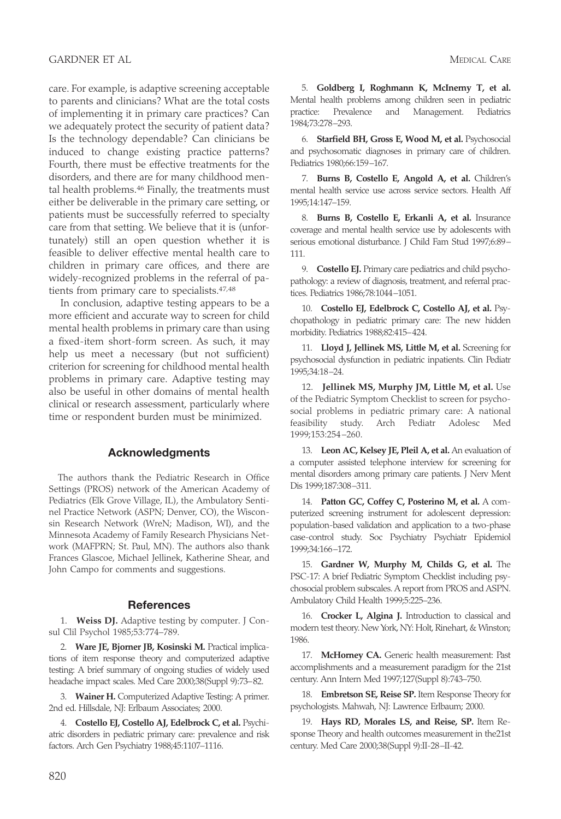care. For example, is adaptive screening acceptable to parents and clinicians? What are the total costs of implementing it in primary care practices? Can we adequately protect the security of patient data? Is the technology dependable? Can clinicians be induced to change existing practice patterns? Fourth, there must be effective treatments for the disorders, and there are for many childhood mental health problems.<sup>46</sup> Finally, the treatments must either be deliverable in the primary care setting, or patients must be successfully referred to specialty care from that setting. We believe that it is (unfortunately) still an open question whether it is feasible to deliver effective mental health care to children in primary care offices, and there are widely-recognized problems in the referral of patients from primary care to specialists.47,48

In conclusion, adaptive testing appears to be a more efficient and accurate way to screen for child mental health problems in primary care than using a fixed-item short-form screen. As such, it may help us meet a necessary (but not sufficient) criterion for screening for childhood mental health problems in primary care. Adaptive testing may also be useful in other domains of mental health clinical or research assessment, particularly where time or respondent burden must be minimized.

# **Acknowledgments**

The authors thank the Pediatric Research in Office Settings (PROS) network of the American Academy of Pediatrics (Elk Grove Village, IL), the Ambulatory Sentinel Practice Network (ASPN; Denver, CO), the Wisconsin Research Network (WreN; Madison, WI), and the Minnesota Academy of Family Research Physicians Network (MAFPRN; St. Paul, MN). The authors also thank Frances Glascoe, Michael Jellinek, Katherine Shear, and John Campo for comments and suggestions.

#### **References**

1. **Weiss DJ.** Adaptive testing by computer. J Consul Clil Psychol 1985;53:774–789.

2. **Ware JE, Bjorner JB, Kosinski M.** Practical implications of item response theory and computerized adaptive testing: A brief summary of ongoing studies of widely used headache impact scales. Med Care 2000;38(Suppl 9):73–82.

3. **Wainer H.** Computerized Adaptive Testing: A primer. 2nd ed. Hillsdale, NJ: Erlbaum Associates; 2000.

4. **Costello EJ, Costello AJ, Edelbrock C, et al.** Psychiatric disorders in pediatric primary care: prevalence and risk factors. Arch Gen Psychiatry 1988;45:1107–1116.

5. **Goldberg I, Roghmann K, McInerny T, et al.** Mental health problems among children seen in pediatric practice: Prevalence and Management. Pediatrics 1984;73:278–293.

6. **Starfield BH, Gross E, Wood M, et al.** Psychosocial and psychosomatic diagnoses in primary care of children. Pediatrics 1980;66:159–167.

7. **Burns B, Costello E, Angold A, et al.** Children's mental health service use across service sectors. Health Aff 1995;14:147–159.

8. **Burns B, Costello E, Erkanli A, et al.** Insurance coverage and mental health service use by adolescents with serious emotional disturbance. J Child Fam Stud 1997;6:89-111.

9. **Costello EJ.** Primary care pediatrics and child psychopathology: a review of diagnosis, treatment, and referral practices. Pediatrics 1986;78:1044–1051.

10. **Costello EJ, Edelbrock C, Costello AJ, et al.** Psychopathology in pediatric primary care: The new hidden morbidity. Pediatrics 1988;82:415–424.

11. **Lloyd J, Jellinek MS, Little M, et al.** Screening for psychosocial dysfunction in pediatric inpatients. Clin Pediatr 1995;34:18–24.

12. **Jellinek MS, Murphy JM, Little M, et al.** Use of the Pediatric Symptom Checklist to screen for psychosocial problems in pediatric primary care: A national feasibility study. Arch Pediatr Adolesc Med 1999;153:254–260.

13. **Leon AC, Kelsey JE, Pleil A, et al.** An evaluation of a computer assisted telephone interview for screening for mental disorders among primary care patients. J Nerv Ment Dis 1999;187:308–311.

14. **Patton GC, Coffey C, Posterino M, et al.** A computerized screening instrument for adolescent depression: population-based validation and application to a two-phase case-control study. Soc Psychiatry Psychiatr Epidemiol 1999;34:166–172.

15. **Gardner W, Murphy M, Childs G, et al.** The PSC-17: A brief Pediatric Symptom Checklist including psychosocial problem subscales. A report from PROS and ASPN. Ambulatory Child Health 1999;5:225–236.

16. **Crocker L, Algina J.** Introduction to classical and modern test theory. New York, NY: Holt, Rinehart, & Winston; 1986.

17. **McHorney CA.** Generic health measurement: Past accomplishments and a measurement paradigm for the 21st century. Ann Intern Med 1997;127(Suppl 8):743–750.

18. **Embretson SE, Reise SP.** Item Response Theory for psychologists. Mahwah, NJ: Lawrence Erlbaum; 2000.

19. **Hays RD, Morales LS, and Reise, SP.** Item Response Theory and health outcomes measurement in the21st century. Med Care 2000;38(Suppl 9):II-28–II-42.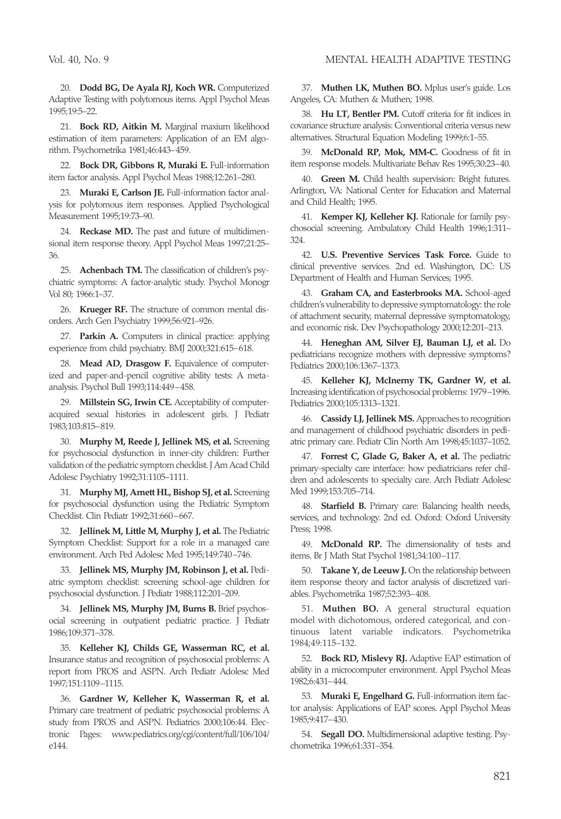20. **Dodd BG, De Ayala RJ, Koch WR.** Computerized Adaptive Testing with polytomous items. Appl Psychol Meas 1995;19:5–22.

21. **Bock RD, Aitkin M.** Marginal maxium likelihood estimation of item parameters: Application of an EM algorithm. Psychometrika 1981;46:443–459.

22. **Bock DR, Gibbons R, Muraki E.** Full-information item factor analysis. Appl Psychol Meas 1988;12:261–280.

23. **Muraki E, Carlson JE.** Full-information factor analysis for polytomous item responses. Applied Psychological Measurement 1995;19:73–90.

24. **Reckase MD.** The past and future of multidimensional item response theory. Appl Psychol Meas 1997;21:25– 36.

25. **Achenbach TM.** The classification of children's psychiatric symptoms: A factor-analytic study. Psychol Monogr Vol 80; 1966:1–37.

26. **Krueger RF.** The structure of common mental disorders. Arch Gen Psychiatry 1999;56:921–926.

27. **Parkin A.** Computers in clinical practice: applying experience from child psychiatry. BMJ 2000;321:615–618.

28. **Mead AD, Drasgow F.** Equivalence of computerized and paper-and-pencil cognitive ability tests: A metaanalysis. Psychol Bull 1993;114:449–458.

29. **Millstein SG, Irwin CE.** Acceptability of computeracquired sexual histories in adolescent girls. J Pediatr 1983;103:815–819.

30. **Murphy M, Reede J, Jellinek MS, et al.** Screening for psychosocial dysfunction in inner-city children: Further validation of the pediatric symptom checklist.J Am Acad Child Adolesc Psychiatry 1992;31:1105–1111.

31. **Murphy MJ, Arnett HL, Bishop SJ, et al.** Screening for psychosocial dysfunction using the Pediatric Symptom Checklist. Clin Pediatr 1992;31:660–667.

32. **Jellinek M, Little M, Murphy J, et al.** The Pediatric Symptom Checklist: Support for a role in a managed care environment. Arch Ped Adolesc Med 1995;149:740–746.

33. **Jellinek MS, Murphy JM, Robinson J, et al.** Pediatric symptom checklist: screening school-age children for psychosocial dysfunction. J Pediatr 1988;112:201–209.

34. **Jellinek MS, Murphy JM, Burns B.** Brief psychosocial screening in outpatient pediatric practice. J Pediatr 1986;109:371–378.

35. **Kelleher KJ, Childs GE, Wasserman RC, et al.** Insurance status and recognition of psychosocial problems: A report from PROS and ASPN. Arch Pediatr Adolesc Med 1997;151:1109–1115.

36. **Gardner W, Kelleher K, Wasserman R, et al.** Primary care treatment of pediatric psychosocial problems: A study from PROS and ASPN. Pediatrics 2000;106:44. Electronic Pages: www.pediatrics.org/cgi/content/full/106/104/ e144.

37. **Muthen LK, Muthen BO.** Mplus user's guide. Los Angeles, CA: Muthen & Muthen; 1998.

38. **Hu LT, Bentler PM.** Cutoff criteria for fit indices in covariance structure analysis: Conventional criteria versus new alternatives. Structural Equation Modeling 1999;6:1–55.

39. **McDonald RP, Mok, MM-C.** Goodness of fit in item response models. Multivariate Behav Res 1995;30:23–40.

40. **Green M.** Child health supervision: Bright futures. Arlington, VA: National Center for Education and Maternal and Child Health; 1995.

41. **Kemper KJ, Kelleher KJ.** Rationale for family psychosocial screening. Ambulatory Child Health 1996;1:311– 324.

42. **U.S. Preventive Services Task Force.** Guide to clinical preventive services. 2nd ed. Washington, DC: US Department of Health and Human Services; 1995.

43. **Graham CA, and Easterbrooks MA.** School-aged children's vulnerability to depressive symptomatology: the role of attachment security, maternal depressive symptomatology, and economic risk. Dev Psychopathology 2000;12:201–213.

44. **Heneghan AM, Silver EJ, Bauman LJ, et al.** Do pediatricians recognize mothers with depressive symptoms? Pediatrics 2000;106:1367–1373.

45. **Kelleher KJ, McInerny TK, Gardner W, et al.** Increasing identification of psychosocial problems: 1979–1996. Pediatrics 2000;105:1313–1321.

46. **Cassidy LJ, Jellinek MS.** Approaches to recognition and management of childhood psychiatric disorders in pediatric primary care. Pediatr Clin North Am 1998;45:1037–1052.

47. **Forrest C, Glade G, Baker A, et al.** The pediatric primary-specialty care interface: how pediatricians refer children and adolescents to specialty care. Arch Pediatr Adolesc Med 1999;153:705–714.

48. **Starfield B.** Primary care: Balancing health needs, services, and technology. 2nd ed. Oxford: Oxford University Press; 1998.

49. **McDonald RP.** The dimensionality of tests and items. Br J Math Stat Psychol 1981;34:100–117.

50. **Takane Y, de Leeuw J.** On the relationship between item response theory and factor analysis of discretized variables. Psychometrika 1987;52:393–408.

51. **Muthen BO.** A general structural equation model with dichotomous, ordered categorical, and continuous latent variable indicators. Psychometrika 1984;49:115–132.

52. **Bock RD, Mislevy RJ.** Adaptive EAP estimation of ability in a microcomputer environment. Appl Psychol Meas 1982;6:431–444.

53. **Muraki E, Engelhard G.** Full-information item factor analysis: Applications of EAP scores. Appl Psychol Meas 1985;9:417–430.

54. **Segall DO.** Multidimensional adaptive testing. Psychometrika 1996;61:331–354.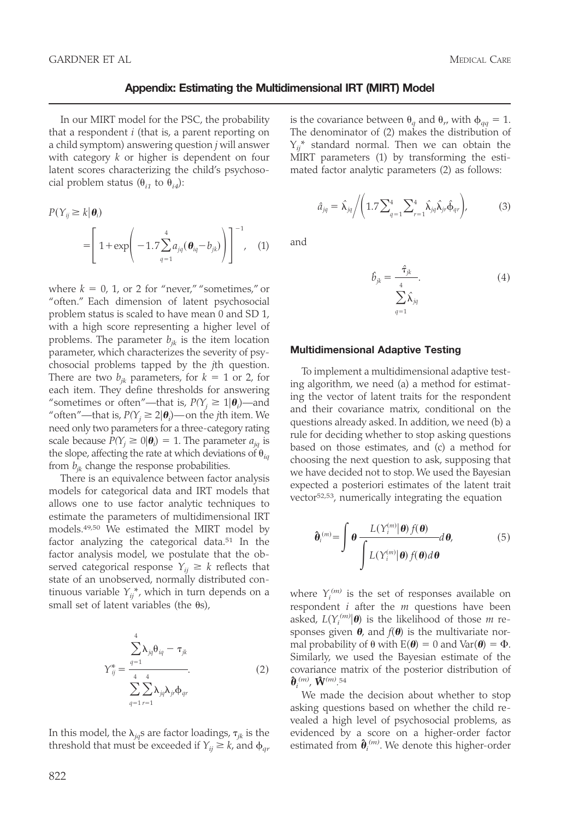#### **Appendix: Estimating the Multidimensional IRT (MIRT) Model**

In our MIRT model for the PSC, the probability that a respondent *i* (that is, a parent reporting on a child symptom) answering question *j* will answer with category *k* or higher is dependent on four latent scores characterizing the child's psychosocial problem status ( $\theta_{i1}$  to  $\theta_{i4}$ ):

$$
P(Y_{ij} \ge k | \boldsymbol{\theta}_i)
$$
  
= 
$$
\left[ 1 + \exp\left( -1.7 \sum_{q=1}^4 a_{jq} (\boldsymbol{\theta}_{iq} - b_{jk}) \right) \right]^{-1}, \quad (1)
$$

where  $k = 0$ , 1, or 2 for "never," "sometimes," or "often." Each dimension of latent psychosocial problem status is scaled to have mean 0 and SD 1, with a high score representing a higher level of problems. The parameter  $b_{ik}$  is the item location parameter, which characterizes the severity of psychosocial problems tapped by the *j*th question. There are two  $b_{jk}$  parameters, for  $k = 1$  or 2, for each item. They define thresholds for answering "sometimes or often"—that is,  $P(Y_j \geq 1 | \boldsymbol{\theta}_i)$ —and "often"—that is,  $P(Y_j \geq 2 | \boldsymbol{\theta}_i)$ —on the *j*th item. We need only two parameters for a three-category rating scale because  $P(Y_j \geq 0 | \boldsymbol{\theta}_i) = 1$ . The parameter  $a_{jq}$  is the slope, affecting the rate at which deviations of  $\theta_{ia}$ from  $b_{ik}$  change the response probabilities.

There is an equivalence between factor analysis models for categorical data and IRT models that allows one to use factor analytic techniques to estimate the parameters of multidimensional IRT models.49,50 We estimated the MIRT model by factor analyzing the categorical data.51 In the factor analysis model, we postulate that the observed categorical response  $Y_{ij} \geq k$  reflects that state of an unobserved, normally distributed continuous variable  $Y_{ii}^*$ , which in turn depends on a small set of latent variables (the  $\theta$ s),

$$
\gamma_{ij}^* = \frac{\sum_{q=1}^4 \lambda_{jq} \theta_{iq} - \tau_{jk}}{\sum_{q=1}^4 \sum_{r=1}^4 \lambda_{jq} \lambda_{jr} \phi_{qr}}.
$$
\n(2)

In this model, the  $\lambda_{ia}$ s are factor loadings,  $\tau_{ik}$  is the threshold that must be exceeded if  $Y_{ii} \ge k$ , and  $\phi_{ar}$ 

is the covariance between  $\theta_q$  and  $\theta_{r}$ , with  $\phi_{qq} = 1$ . The denominator of (2) makes the distribution of  $Y_{ii}^*$  standard normal. Then we can obtain the MIRT parameters (1) by transforming the estimated factor analytic parameters (2) as follows:

$$
\hat{a}_{jq} = \hat{\lambda}_{jq} \bigg/ \bigg( 1.7 \sum_{q=1}^4 \sum_{r=1}^4 \hat{\lambda}_{jq} \hat{\lambda}_{jr} \hat{\Phi}_{qr} \bigg), \tag{3}
$$

and

$$
\hat{b}_{jk} = \frac{\hat{\tau}_{jk}}{\sum_{q=1}^{4} \hat{\lambda}_{jq}}.
$$
\n(4)

#### **Multidimensional Adaptive Testing**

To implement a multidimensional adaptive testing algorithm, we need (a) a method for estimating the vector of latent traits for the respondent and their covariance matrix, conditional on the questions already asked. In addition, we need (b) a rule for deciding whether to stop asking questions based on those estimates, and (c) a method for choosing the next question to ask, supposing that we have decided not to stop. We used the Bayesian expected a posteriori estimates of the latent trait vector52,53, numerically integrating the equation

$$
\hat{\boldsymbol{\theta}}_i^{(m)} = \int \boldsymbol{\theta} \frac{L(Y_i^{(m)} | \boldsymbol{\theta}) f(\boldsymbol{\theta})}{\int L(Y_i^{(m)} | \boldsymbol{\theta}) f(\boldsymbol{\theta}) d\boldsymbol{\theta}} d\boldsymbol{\theta},
$$
\n(5)

where  $Y_i^{(m)}$  is the set of responses available on respondent *i* after the *m* questions have been asked,  $L(Y_i^{(m)}|\boldsymbol{\theta})$  is the likelihood of those *m* responses given  $\theta$ , and  $f(\theta)$  is the multivariate normal probability of  $\theta$  with  $E(\theta) = 0$  and  $Var(\theta) = \Phi$ . Similarly, we used the Bayesian estimate of the covariance matrix of the posterior distribution of  $\hat{\boldsymbol{\theta}}_i^{(m)}$ ,  $\hat{\mathbf{W}}^{(m)}$ .<sup>54</sup>

We made the decision about whether to stop asking questions based on whether the child revealed a high level of psychosocial problems, as evidenced by a score on a higher-order factor estimated from  $\hat{\boldsymbol{\theta}}_i^{(m)}$ . We denote this higher-order